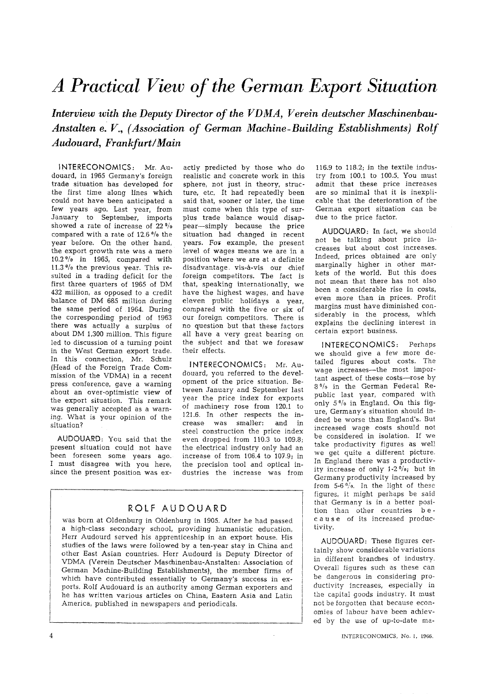## *d Practical View of the German Export Situation*

Interview with the Deputy Director of the VDMA, Verein deutscher Maschinenbau*dnstalten e. V., (Association of German Machine-Building Establishments) Rolf Audouard, Frankfurt~Main* 

INTERECONOMICS: Mr. Audouard, in 1965 Germany's foreign trade situation has developed for the first time along lines which could not have been anticipated a few years ago, Last year, from January to September, imports showed a rate of increase of  $22\frac{9}{6}$ compared with a rate of  $12.6\frac{0}{0}$  the year before. On the other hand, the export growth rate was a mere  $10.2\frac{9}{6}$  in 1965, compared with 11.3 $\frac{9}{6}$  the previous year. This resuited in a trading deficit for the first three quarters of 1965 of DM 432 million, as opposed to a credit balance of DM 685 million during the same period of 1964. During the corresponding period of 1963 there was actually a surplus of about DM 1,300 million. This figure led to discussion of a turning point in the West German export trade. In this connection, Mr. Schulz (Head of the Foreign Trade Commission of the VDMA) in a recent press conference, gave a warning about an ever-optimistic view of the export situation. This remark was generally accepted as a warning. What is your opinion of the situation?

AUDOUARD: You said that the present situation could not have been foreseen some years ago. I must disagree with you here, since the present position was ex-

actly predicted by those who do realistic and concrete work in this sphere, not just in theory, structure, etc. It had repeatedly been said that, sooner or later, the time must come when this type of surplus trade balance would disappear-simply because the price situation had changed in recent years. For example, the present level of wages means we are in a position where we are at a definite disadvantage, vis-a-vis our chief foreign competitors. The fact is that, speaking internationally, we have the highest wages, and have eleven public holidays a year, compared with the five or six of our foreign competitors. There is no question but that these factors all have a very great bearing on the subject and that we foresaw their effects.

INTERECONOMICS: Mr: Audouard, you referred to the development of the price situation. Between January and September last year the price index for exports of machinery rose from 120.1 to 121.6. In other respects the increase was smaller: and in steel construction the price index even dropped from 110.3 to 109.8; the electrical industry only had an increase of from t06.4 to 107.9; in the precision tool and optical industries the increase was from

## ROLF AUDOUARD

was born at Oldenburg in Oldenburg in 1905. After he had passed a high-class secondary school, providing humanistic education, Herr Audourd served his apprenticeship in an export house. His studies of the laws were followed by a ten-year stay in China and other East Asian countries. Herr Audourd is Deputy Director of VDMA (Verein Deutscher Maschinenbau-Anstalten: Association of German Machine-Building Establishments), the member firms of which have contributed essentially to Germany's success in exports. Rolf Audouard is an authority among German exporters and he has written various articles on China, Eastern Asia and Latin America, published in newspapers and periodicals.

116.9 to 118.2; in the textile industry from 100.1 to 100.5. You must admit that these price increases are so minimal that it is inexplicable that the deterioration of the German export situation can be due to the price factor.

AUDOUARD: In fact, we should not be talking about price increases but about cost increases. Indeed, prices obtained are only marginally higher in other markets of the world. But this does not mean that there has not also been a considerable rise in costs, even more than in prices. Profit margins must have diminished considerably in the process, which explains the declining interest in certain export business.

INTERECONOMICS: Perhaps we should give a few more detailed figures about costs. The wage increases--the most important aspect of these costs-rose by 8% in the German Federal Republic last year, compared with only  $5\frac{0}{0}$  in England. On this figure, Germany's situation should indeed be worse than England's. But increased wage costs should not be considered in isolation. If we take productivity figures as well we get quite a different picture. In England there was a productivity increase of only  $1-2\frac{0}{0}$ ; but in Germany productivity increased by from  $5-6$   $\frac{6}{9}$ . In the light of these figures, it might perhaps be said that Germany is in a better position than other countries be-<br>cause of its increased producof its increased productivity.

AUDOUARD: These figures certainly show considerable variations in different branches of industry. Overall figures such as these can be dangerous in considering productivity increases, especially in the capital goods industry. It must not be forgotten that because economies of labour have been achieved by the use of up-to-date ma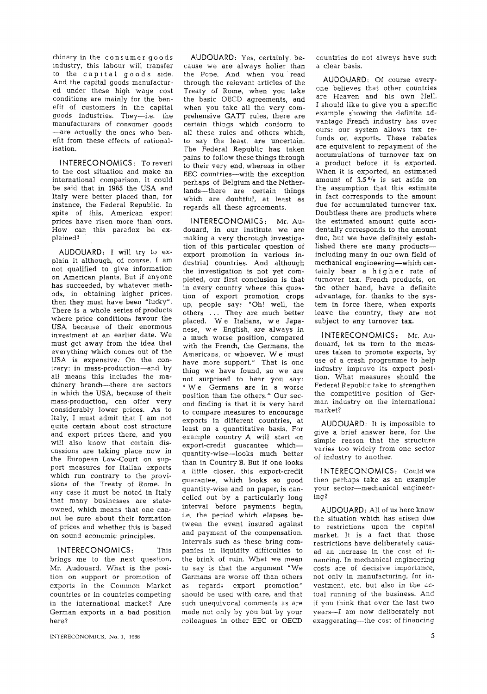chinery in the consumer goods industry, this labour will transfer to the capital goods side. And the capital goods manufactured under these high wage cost conditions are mainly for the benefit of customers in the capital goods industries. They--i.e. the manufacturers of consumer goods --are actually the ones who benefit from these effects of rationalisation.

**<sup>l</sup>**NTERECO NOMICS **:** To revert to the cost situation and make an international comparison, it could be said that in 1965 the USA and Italy were better placed than, for instance, the Federal Republic. In spite of this, American export prices have risen more than ours. How can this paradox be explained?

AUDOUARD: I will try to explain it although, of course, I am not qualified to give information on American plants. But if anyone has succeeded, by whatever methods, in obtaining higher prices, then they must have been "lucky". There is a whole series of products where price conditions favour the USA because of their enormous investment at an earlier date. We must get away from the idea that everything which comes out of the USA is expensive. On the contrary: in mass-production--and by all means this includes the machinery branch--there are sectors in which the USA, because of their mass-production, can offer very considerably lower prices. As to Italy, I must admit that I am not quite certain about cost structure and export prices there, and you will also know that certain discussions are taking place now in the European Law-Court on support measures for Italian exports which run contrary to the provisions of the Treaty of Rome. In any case it must be noted in Italy that many businesses are stateowned, which means that one cannot be sure about their formation of prices and whether this is based on sound economic principles.

INTERECONOMICS: This brings me to the next question, Mr. Audouard. What is the position on support or promotion of exports in the Common Market countries or in countries competing in the international market? Are German exports in a bad position here?

INTERECONOMICS, No. 1, 1966. 5

AUDOUARD: Yes, certainly, because we are always holier than the Pope, And when you read through the relevant articles of the Treaty of Rome, when you take the basic OECD agreements, and when you take all the very comprehensive GATT rules, there are certain things which conform to all these rules and others which, to say the least, are uncertain. The Federal Republic has taken pains to follow these things through to their very end, whereas in other EEC countries--with the exception perhaps of Belgium and the Netherlands--there are certain things which are doubtful, at least as regards all these agreements.

INTERECONOMICS: Mr. Audouard, in our institute we are making a very thorough investigation of this particular question of export promotion in various industrial countries. And although the investigation is not yet completed, our first conclusion is that. in every country where this question of export promotion crops up, people say: "Oh! well, the others ... They are much better placed. We Italians, we Japanese, w e English, are always in a much worse position, compared with the French, the Germans, the Americans, or whoever. W e must have more support." That is one thing we have found, so we are not surprised to hear you say: "We Germans are in a worse position than the others." Our second finding is that it is very hard to compare measures to encourage exports in different countries, at least on a quantitative basis. For example country A will start an export-credit guarantee whichquantity-wise--looks much better than in Country B. But if one looks a little closer, this export-credit guarantee, which looks so good quantity-wise and on paper, is cancelIed out by a particularly long interval before payments begin, i.e. the period which elapses between the event insured against and payment of the compensation. Intervals such as these bring companies in liquidity difficulties to the brink of ruin. What we mean to say is that the argument "We Germans are worse off than others as regards export promotion" should be used with care, and that such unequivocal comments as are made not only by you but by your colleagues in other EEC or OECD

countries do not always have such a clear basis.

AUDOUARD: Of course everyone believes that other countries are Heaven and his own Hell. I should like to give you a specific example showing the definite advantage French industry has over ours: our system allows tax refunds on exports. These rebates are equivalent to repayment of the accumulations of turnover tax on a product before it is exported. When it is exported, an estimated amount of  $3.5\frac{0}{0}$  is set aside on the assumption that this estimate in fact corresponds to the amount due for accumulated turnover tax. Doubtless there are products where the estimated amount quite accidentally corresponds to the amount due, but we have definitely established there are many productsincluding many in our own field of mechanical engineering--which certainly bear a higher rate of turnover tax. French products, on the other hand, have a definite advantage, for, thanks to the system in force there, when exports leave the country, they are not subject to any turnover tax.

INTERECONOMICS: Mr. Audouard, let, us turn to the measures taken to promote exports, by use of a crash programme to help industry improve its export position. What measures should the Federal Republic take to strengthen the competitive position of German industry on the international market?

AUDOUARD: It is impossible to give a brief answer here, for the simple reason that the structure varies too widely from one sector of industry to another.

INTERECONOMICS: Could we then perhaps take as an example your sector--mechanical engineering?

AUDOUARD: All of us here know the situation which has arisen due to restrictions upon the capital market. It is a fact that those restrictions have deliberately caused an increase in the cost of financing. In mechanical engineering costs are of decisive importance, not only in manufacturing, for investment, etc. but also in the actual running of the business. And if you think that over the last two years--I am now deliberately not exaggerating-the cost of financing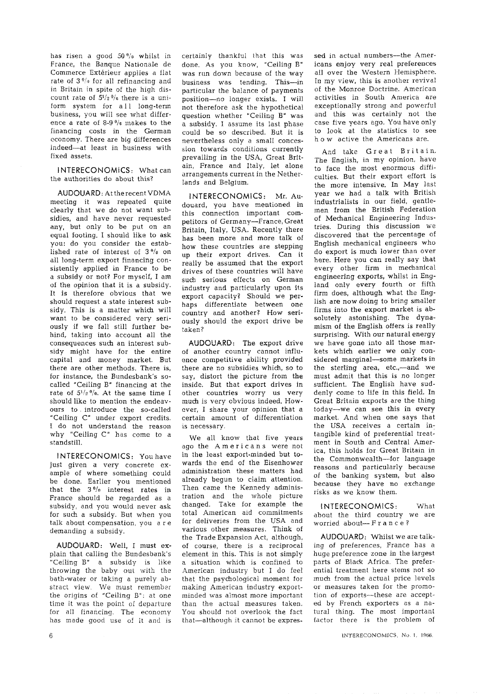has risen a good 50% whilst in France, the Banque Nationale de Commerce Extérieur applies a flat rate of  $3<sup>0</sup>/0$  for all refinancing and in Britain in spite of the high discount rate of  $5\frac{1}{2}$ % there is a uniform system for all long-term business, you will see what difference a rate of 8-9% makes to the financing costs in the German economy. There are big differences indeed--at least in business with fixed assets.

INTERECONOMICS: What can the authorities do about this?

AUDOUARD: At the recent VDMA meeting it was repeated quite clearly that we do not want subsidies, and have never requested any, but only to be put on an equal footing. I should like to ask you: do you consider the established rate of interest of  $3\frac{0}{a}$  on all long-term export financing consistently applied in France to be a subsidy or not? For myself, I am of the opinion that it is a subsidy. It is therefore obvious that we should request a state interest subsidy. This is a matter which will want to be considered very seriously if we fall still further behind, taking into account all the consequences such an interest subsidy might have for the entire capital and money market. But there are other methods, There is, for instance, the Bundesbank's socalled "Ceiling B" financing at the rate of  $5^{1/2}$  %. At the same time I should like to mention the endearours to, introduce the so-called "Ceiling C" under export credits. t do not understand the reason why "Ceiling C" has come to a standstill.

INTERECONOMICS : You have just given a very concrete example of where something could be done. Earlier you mentioned that the  $3\frac{0}{e}$  interest rates in France should be regarded as a subsidy, and you would never ask for such a subsidy. But when you talk about compensation, you a r e demanding a subsidy.

AUDOUARD: Well, I must explain that calling the Bundesbank's "Ceiling B" a subsidy is like throwing the baby out with the bath-water or taking a purely abstract view. We must remember the origins of "Ceiling B": at one time it was the point of departure for all financing. The economy has made good use of it and is

 $\overline{6}$ 

certainly thankful that this was done. As you know, "Ceiling B" was run down because of the *way*  business was tending. This--in particular the balance of payments position--no longer exists. I will not therefore ask the hypothetical question whether "Ceiling B" was a subsidy. I assume its last phase could be so described. But it is nevertheless only a small concession towards conditions currently prevailing in the USA, Great Britain, France and Italy, let alone arrangements current in the Netherlands and Belgium.

INTERECONOMICS: Mr. Audouard, you have mentioned in this connection important competitors of Germany-France, Great Britain, Italy, USA. Recently there has been more and more talk of how these countries are stepping up their export drives. Can it really be assumed that the export drives of these countries will have such serious effects on German industry and particularly upon its export capacity? Should we perhaps differentiate between one country and another? How seriously should the export drive be taken?

AUDOUARD: The export drive of another country, cannot influence competitive ability provided there are no subsidies which, so to say, distort the picture from the inside. But that export drives in other countries worry us very much is very obvious indeed. However, I share your opinion that a certain amount of differentiation is necessary.

We all know that five years ago the Americans were not in the least export-minded hut towards the end of the Eisenhower administration these matters had already begun to claim attention. Then came the Kennedy administration and the whole picture changed. Take for example the total American aid commitments for deliveries from the USA and various other measures. Think of the Trade Expansion Act, although, of course, there is a reciprocal element in this. This is not simply a situation which is confined to American industry but I do feel that the psychological moment for making American industry exportminded was almost more important than the actual measures taken. You should not overlook the fact that-although it cannot be expressed in actual numbers--the Americans enjoy very real preferences all over the Western Hemisphere. In my view, this is another revival of the Monroe Doctrine. American activities in South America are exceptionally strong and powerful and this was certainly not the case five years ago. You have only to look at the statistics to see h o w active the Americans are.

And take Great Britain, The English, in my opinion, have to face the most enormous difficulties, But their export effort is the more intensive, In May last year we had a talk with British industrialists in our field, gentlemen from the British Federation of Mechanical Engineering Industries. During this discussion we discovered that the percentage of English mechanical engineers who do export is much lower than over here. Here you can really say that every other firm in mechanical engineering exports, whilst in England only every fourth or fifth firm does, although what the English are now doing to bring smaller firms into the export market is absolutely astonishing. The dynamism of the English offers is really surprising. With our natural energy we have gone into all those markets which earlier we only considered marginal-some markets in the sterling area, etc.,--and we must admit that this is no longer sufficient. The English have suddenly come to life in this field. In Great Britain exports are the thing today--we can see this in every market. And when one says that the USA receives a certain intangible kind of preferential treatment in South and Central America, this holds for Great Britain in the Commonwealth--for language reasons and particularly because of the banking system, but also because they have no exchange risks as we know them.

[NTERECONOMICS: What about the third country we are worried about--France?

AUDOUARD: Whilst we are talking of preferences, France has a huge preference zone in the largest parts of Black Africa. The preferential treatment here stems not so much from the actual price levels or measures taken for the promotion of exports--these are accepted by French exporters as a natural thing. The most important factor there is the problem of

INTERECONOMICS, No. I. 1966.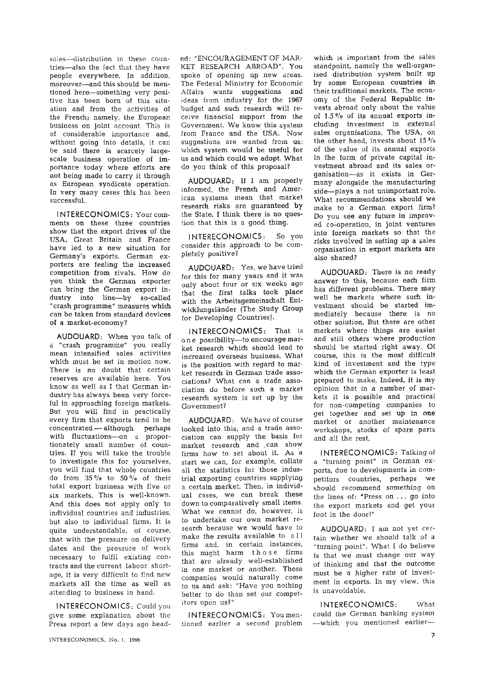sales-distribution in these countries-also the fact that they have people everywhere. In addition, moreover--and this should be mentioned here--something very positive has been born of this situation and from the activities of the French; namely, the European business on joint account. This is of considerable importance and, without going into details, it can be said there is scarcely largescale business operation of importance today where efforts are not being made to carry it through as European syndicate operation. In very many cases this has been successful.

I NTERECONOMICS: Your comments on these three countries show that the export drives of the USA, Great Britain and France have led to a new situation for Germany's exports. German exporters are feeling the increased competition from rivals. How do you think the German exporter can bring the German export industry into line--by so-called "crash programme" measures which can be taken from standard devices of a market-economy?

AUDOUARD: When you talk of a "crash programme" you really mean intensified sales activities which must be set in motion now. There is no doubt that certain reserves are available here. You know as weI1 as I that German industry has always been very forceful in approaching foreign markets. But you will find in practically every firm that exports tend to be concentrated -- although perhaps with fluctuations-on a proportionately smalI number of countries. If you will take the trouble to investigate this for yourselves, you will find that whole countries do from 35% to 50% of their total export business with five or six markets. This is well-known. And this does not apply only to individual countries and industries, but also to individual firms. It is quite understandable, of course, that with the pressure on delivery dates and the pressure of work necessary to fulfil existing contracts and the current labour shortage, it is very difficult to find new markets all the time as well as attending to business in hand.

INTERECONOMICS: Could you give some explanation about the Press report a few *days* ago headed: "ENCOURAGEMENT OF MAR-KET RESEARCH ABROAD". You spoke of opening up new areas. The Federal Ministry for Economic Affairs wants suggestions and ideas from industry for the 1967 budget and such research will receive financial support from the Government. We know this system from France and the USA. Now suggestions are wanted from us: which system would be useful for us and which could we adopt. What do you think of this proposal?

AUDOUARD: If I am properly informed, the French and American systems mean that market research risks are guaranteed by the State. I think there is no question that this is a good thing.

INTERECONOMICS: So you consider this approach to be completely positive?

AUDOUARD: Yes, we have tried for this for many years and it was only about four or six weeks ago that the first talks took place with the Arbeitsgemeinschaft Entwicklungsländer (The Study Group for Developing Countries).

INTERECONOMICS: That is one possibility-to encourage market research which should lead to increased overseas business. What is the position with regard to market research in German trade associations? What can a trade association do before such a market research system is set up: by the Government?

AUDOUARD: We have of course looked into this, and a trade association can supply the basis for market research and can show firms how to set about it. As a start we can, for example, collate all the statistics for those industrial exporting countries supplying a certain market. Then; in individual cases, we can break these down to comparatively small items. What we cannot do, however, is to undertake our own market research because we would have to make the results available to all firms and, in certain instances, this might harm those firms that are already well-established in one market or another. These companies would naturally come to us and ask: "Have you nothing better to do than set our competitors upon us?"

INTERECONOMICS: You mentioned earlier a second problem which is important from the sales standpoint, namely the well-organised distribution system built up by some European countries in their traditional markets. The economy of the Federal Republic invests abroad only about the value of  $1.5\%$  of its annual exports including investment in external sales organisations. The USA, on the other hand, invests about  $15\frac{0}{a}$ of the value of its annual exports in the form of private capital investment abroad and its sales organisation--as it exists in Germany alongside the manufacturing side--plays a not unimportant role. What recommendations should we make to a German export firm? Do you see any future in improved co-operation, in joint ventures into foreign markets so that the risks involved in setting up a sales organisation in export markets are also shared?

AUDOUARD: There is no ready answer to this, because each firm has different problems. There may well be markets where such investment should be started immediately because there is no other solution. But there are other markets where things are easier and still others where production should be started right away. Of course, this is the most difficult kind of investment and the type which the German exporter is least prepared to make. Indeed, it is my opinion that in a number of markets it is possible and practical for non-competing companies to get together and set up in one market or another maintenance workshops, stocks of spare parts and all the rest.

INTERECONOMICS: Talking of a "turning point" in German exports, due to developments in competitors countries, perhaps we should recommend something on the lines of: "Press on ... go into the export markets and get your foot in the door!"

AUDOUARD: I am not yet certain whether we should talk of a "turning point". What I do believe is that we must change our way of thinking and that the outcome must be a higher rate of investment in exports. In my view, this is unavoidable.

INTERECONOMICS: What could the German banking system -- which you mentioned earlier-

INTERECONOMICS, No. 1, 1965.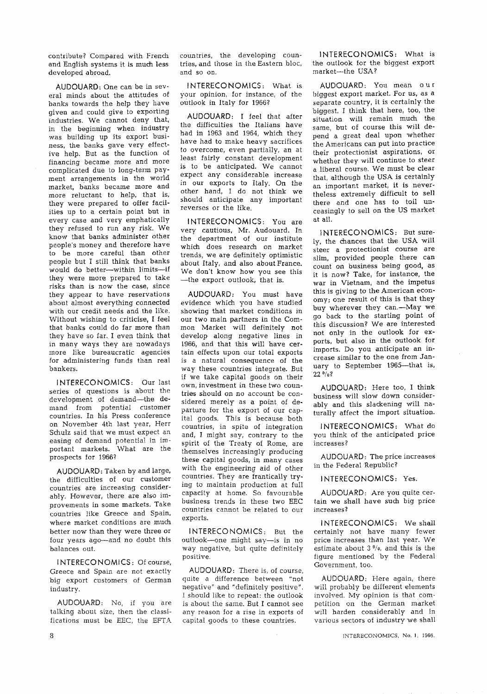contribute? Compared with French and English systems it is much less developed abroad.

AUDOUARD: One can be in several minds about the attitudes of banks towards the help they have given and could give to exporting industries. We cannot deny that, in the beginning when industry was building up its export business, the banks gave very effective help. But as the function of financing became more and more complicated due to long-term payment arrangements in the world market, banks became more and more reluctant to help, that is, they were prepared to offer facilities up to a certain point but in every case and very emphatically they refused to run any risk. We know that banks administer other people's money and therefore have to be more careful than other people but I still think that banks would do better--within limits--if they were more prepared to take risks than is now the case, since they appear to have reservations about almost everything connected with our credit needs and the like. Without wishing to criticise, I feel that banks could do far more than they have so far. I even think that in many ways they are nowadays more like bureaucratic agencies for administering funds than real bankers.

**INTERECONOMICS:** Our last series of questions is about the development of demand--the demand from potential customer countries. In his Press conference on November 4th last year, Herr Schulz said that we must expect an easing of demand potential in important markets. What are the prospects for I9667

AUDOUARD: Taken by and large, the difficulties of our customer countries are increasing considerably. However, there are also improvements in some markets. Take countries like Greece and Spain, where market conditions are much better now than they were three or four years ago--and no doubt this balances out.

**I NTERECONOMICS:** Of course, Greece and Spain are not exactly big export customers of German industry.

AUDOUARD: No, if you are talking about size, then the classifications must be EEC, the EFTA

countries, the developing countries, and those in the Eastern bloc, and so on.

**INTERECONOMICS:** What is Your opinion, for instance, of the outlook in Italy for 19667

AUDOUARD: I feel that after the difficulties the Italians have had in 1963 and 1964, which they have had to make heavy sacrifices to overcome, even partially, an at least fairly constant development is to be anticipated. We cannot expect any considerable increase in our exports to Italy. On the other hand, I do not think we should anticipate any important reverses or the like.

**INTERECONOMICS:** You are very cautious, Mr. Audouard. In the department of our institute which does research on market trends, we are definitely optimistic about Italy, and also about France. We don't know how you see this -the export outlook, that is.

AUDOUARD: You must have evidence which you have studied showing that market conditions in our two main partners in the Common Market will definitely not develop along negative lines in 1966, and that this will have certain effects upon our total exports is a natural consequence of the way these countries integrate. But if we take capital goods on their own, investment in these two countries should on no account be considered merely as a point of departure for the export of our capital goods. This is because both countries, in spite of integration and, I might say, contrary to the spirit of the Treaty of Rome, are themselves increasingly producing these capital goods, in many cases with the engineering aid of other countries. They are frantically trying to maintain production at full capacity at home. So favourable business trends in these two EEC countries cannot be related to our exports.

**INTERECONOMICS;** But the outlook--one might say--is in no way negative, but quite definitely positive.

AUDOUARD: There is, of course, quite a difference between "not negative" and "definitely positive". I should like to repeat: the outlook is about the same. But I cannot see any reason for a rise in exports of capital goods to these countries.

**INTERECONOMICS:** What is the outlook for the biggest export market---the USA?

AUDOUARD: You mean our biggest export market. For us, as a separate country, it is certainly the biggest. I think that here, too, the situation will remain much the same, but of course this will depend a great deal upon whether the Americans can put into practice their protectionist aspirations, or whether they will continue to steer a liberal course. We must be clear that, although the USA is certainly an important market, it is nevertheless extremely difficult to sell there and one has to toil unceasingly to sell on the US market at all.

**}NTERECONOMtCS:** But sure-1y, the chances that the USA will steer a protectionist course are slim, provided people there can count on business being good, as it is now? Take, for instance, the war in Vietnam, and the impetus this is giving to the American economy; one result of this is that they buy wherever they cam--May we go back to the starting point of this discussion? We are interested not only in the outlook for exports, but also in the outlook for imports. Do you anticipate an increase similar to the one from January to September 1965---that is,  $22 \frac{0}{0}$ ?

AUDOUARD: Here too, I think business will slow down considerably and this slackening will naturally affect the import situation.

**INTERECONOMICS:** What do you think of the anticipated price increases?

AUDOUARD: The price increases in the Federal Republic?

**INTERECONOMICS:** Yes.

AUDOUARD: Are you quite certain we shall have such big price increases?

**INTERECONOMICS:** We shall certainly not have many fewer price increases than last year. We estimate about  $3\frac{0}{a}$ , and this is the figure mentioned by the Federal Government, too.

AUDOUARD: Here again, there will probably be different elements involved. My opinion is that competition on the German market will harden considerably and in various sectors of industry we shall

INTERECONOMICS, No, 1, 1966.